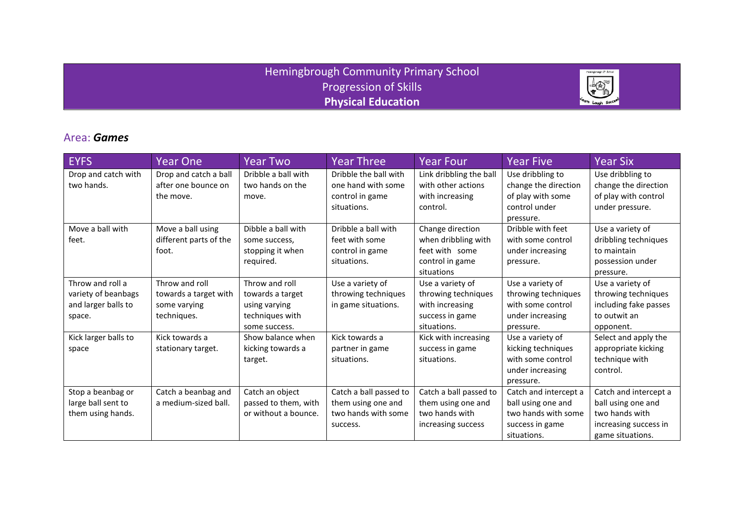### Hemingbrough Community Primary School Progression of Skills **Physical Education**



### Area: *Games*

| <b>EYFS</b>                                                              | <b>Year One</b>                                                        | <b>Year Two</b>                                                                         | <b>Year Three</b>                                                               | <b>Year Four</b>                                                                             | <b>Year Five</b>                                                                                     | Year Six                                                                                                   |
|--------------------------------------------------------------------------|------------------------------------------------------------------------|-----------------------------------------------------------------------------------------|---------------------------------------------------------------------------------|----------------------------------------------------------------------------------------------|------------------------------------------------------------------------------------------------------|------------------------------------------------------------------------------------------------------------|
| Drop and catch with<br>two hands.                                        | Drop and catch a ball<br>after one bounce on<br>the move.              | Dribble a ball with<br>two hands on the<br>move.                                        | Dribble the ball with<br>one hand with some<br>control in game<br>situations.   | Link dribbling the ball<br>with other actions<br>with increasing<br>control.                 | Use dribbling to<br>change the direction<br>of play with some<br>control under<br>pressure.          | Use dribbling to<br>change the direction<br>of play with control<br>under pressure.                        |
| Move a ball with<br>feet.                                                | Move a ball using<br>different parts of the<br>foot.                   | Dibble a ball with<br>some success,<br>stopping it when<br>required.                    | Dribble a ball with<br>feet with some<br>control in game<br>situations.         | Change direction<br>when dribbling with<br>feet with some<br>control in game<br>situations   | Dribble with feet<br>with some control<br>under increasing<br>pressure.                              | Use a variety of<br>dribbling techniques<br>to maintain<br>possession under<br>pressure.                   |
| Throw and roll a<br>variety of beanbags<br>and larger balls to<br>space. | Throw and roll<br>towards a target with<br>some varying<br>techniques. | Throw and roll<br>towards a target<br>using varying<br>techniques with<br>some success. | Use a variety of<br>throwing techniques<br>in game situations.                  | Use a variety of<br>throwing techniques<br>with increasing<br>success in game<br>situations. | Use a variety of<br>throwing techniques<br>with some control<br>under increasing<br>pressure.        | Use a variety of<br>throwing techniques<br>including fake passes<br>to outwit an<br>opponent.              |
| Kick larger balls to<br>space                                            | Kick towards a<br>stationary target.                                   | Show balance when<br>kicking towards a<br>target.                                       | Kick towards a<br>partner in game<br>situations.                                | Kick with increasing<br>success in game<br>situations.                                       | Use a variety of<br>kicking techniques<br>with some control<br>under increasing<br>pressure.         | Select and apply the<br>appropriate kicking<br>technique with<br>control.                                  |
| Stop a beanbag or<br>large ball sent to<br>them using hands.             | Catch a beanbag and<br>a medium-sized ball.                            | Catch an object<br>passed to them, with<br>or without a bounce.                         | Catch a ball passed to<br>them using one and<br>two hands with some<br>success. | Catch a ball passed to<br>them using one and<br>two hands with<br>increasing success         | Catch and intercept a<br>ball using one and<br>two hands with some<br>success in game<br>situations. | Catch and intercept a<br>ball using one and<br>two hands with<br>increasing success in<br>game situations. |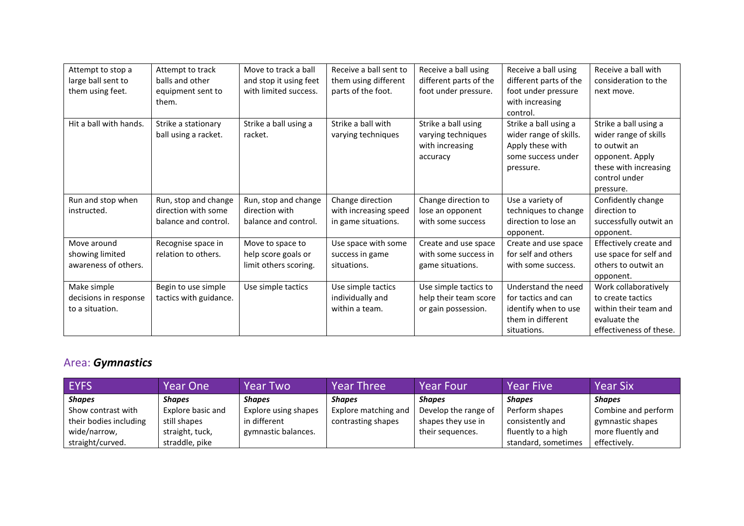| Attempt to stop a      | Attempt to track       | Move to track a ball   | Receive a ball sent to | Receive a ball using   | Receive a ball using   | Receive a ball with     |
|------------------------|------------------------|------------------------|------------------------|------------------------|------------------------|-------------------------|
| large ball sent to     | balls and other        | and stop it using feet | them using different   | different parts of the | different parts of the | consideration to the    |
| them using feet.       | equipment sent to      | with limited success.  | parts of the foot.     | foot under pressure.   | foot under pressure    | next move.              |
|                        | them.                  |                        |                        |                        | with increasing        |                         |
|                        |                        |                        |                        |                        | control.               |                         |
| Hit a ball with hands. | Strike a stationary    | Strike a ball using a  | Strike a ball with     | Strike a ball using    | Strike a ball using a  | Strike a ball using a   |
|                        | ball using a racket.   | racket.                | varying techniques     | varying techniques     | wider range of skills. | wider range of skills   |
|                        |                        |                        |                        | with increasing        | Apply these with       | to outwit an            |
|                        |                        |                        |                        | accuracy               | some success under     | opponent. Apply         |
|                        |                        |                        |                        |                        | pressure.              | these with increasing   |
|                        |                        |                        |                        |                        |                        | control under           |
|                        |                        |                        |                        |                        |                        | pressure.               |
| Run and stop when      | Run, stop and change   | Run, stop and change   | Change direction       | Change direction to    | Use a variety of       | Confidently change      |
| instructed.            | direction with some    | direction with         | with increasing speed  | lose an opponent       | techniques to change   | direction to            |
|                        | balance and control.   | balance and control.   | in game situations.    | with some success      | direction to lose an   | successfully outwit an  |
|                        |                        |                        |                        |                        | opponent.              | opponent.               |
| Move around            | Recognise space in     | Move to space to       | Use space with some    | Create and use space   | Create and use space   | Effectively create and  |
| showing limited        | relation to others.    | help score goals or    | success in game        | with some success in   | for self and others    | use space for self and  |
| awareness of others.   |                        | limit others scoring.  | situations.            | game situations.       | with some success.     | others to outwit an     |
|                        |                        |                        |                        |                        |                        | opponent.               |
| Make simple            | Begin to use simple    | Use simple tactics     | Use simple tactics     | Use simple tactics to  | Understand the need    | Work collaboratively    |
| decisions in response  | tactics with guidance. |                        | individually and       | help their team score  | for tactics and can    | to create tactics       |
| to a situation.        |                        |                        | within a team.         | or gain possession.    | identify when to use   | within their team and   |
|                        |                        |                        |                        |                        | them in different      | evaluate the            |
|                        |                        |                        |                        |                        | situations.            | effectiveness of these. |

## Area: *Gymnastics*

| <b>EYFS</b>            | Year One          | <b>Year Two</b>      | <b>Year Three</b>    | <b>Year Four</b>     | <b>Year Five</b>    | <b>Year Six</b>     |
|------------------------|-------------------|----------------------|----------------------|----------------------|---------------------|---------------------|
| <b>Shapes</b>          | <b>Shapes</b>     | <b>Shapes</b>        | <b>Shapes</b>        | <b>Shapes</b>        | <b>Shapes</b>       | <b>Shapes</b>       |
| Show contrast with     | Explore basic and | Explore using shapes | Explore matching and | Develop the range of | Perform shapes      | Combine and perform |
| their bodies including | still shapes      | in different         | contrasting shapes   | shapes they use in   | consistently and    | gymnastic shapes    |
| wide/narrow,           | straight, tuck,   | gymnastic balances.  |                      | their sequences.     | fluently to a high  | more fluently and   |
| straight/curved.       | straddle, pike    |                      |                      |                      | standard, sometimes | effectively.        |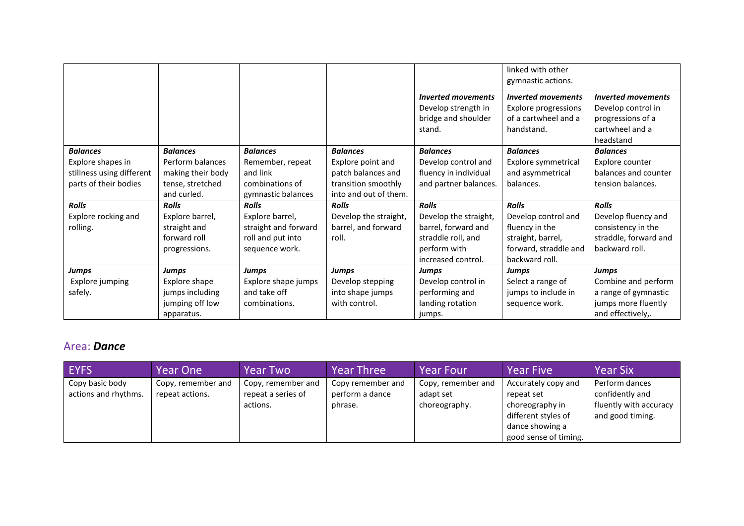|                                                                                            |                                                                                             |                                                                                                |                                                                                                            |                                                                                                                          | linked with other<br>gymnastic actions.                                                                               |                                                                                                         |
|--------------------------------------------------------------------------------------------|---------------------------------------------------------------------------------------------|------------------------------------------------------------------------------------------------|------------------------------------------------------------------------------------------------------------|--------------------------------------------------------------------------------------------------------------------------|-----------------------------------------------------------------------------------------------------------------------|---------------------------------------------------------------------------------------------------------|
|                                                                                            |                                                                                             |                                                                                                |                                                                                                            | <b>Inverted movements</b><br>Develop strength in<br>bridge and shoulder<br>stand.                                        | <b>Inverted movements</b><br><b>Explore progressions</b><br>of a cartwheel and a<br>handstand.                        | <b>Inverted movements</b><br>Develop control in<br>progressions of a<br>cartwheel and a                 |
|                                                                                            |                                                                                             |                                                                                                |                                                                                                            |                                                                                                                          |                                                                                                                       | headstand                                                                                               |
| <b>Balances</b><br>Explore shapes in<br>stillness using different<br>parts of their bodies | <b>Balances</b><br>Perform balances<br>making their body<br>tense, stretched<br>and curled. | <b>Balances</b><br>Remember, repeat<br>and link<br>combinations of<br>gymnastic balances       | <b>Balances</b><br>Explore point and<br>patch balances and<br>transition smoothly<br>into and out of them. | <b>Balances</b><br>Develop control and<br>fluency in individual<br>and partner balances.                                 | <b>Balances</b><br>Explore symmetrical<br>and asymmetrical<br>balances.                                               | <b>Balances</b><br>Explore counter<br>balances and counter<br>tension balances.                         |
| <b>Rolls</b><br>Explore rocking and<br>rolling.                                            | <b>Rolls</b><br>Explore barrel,<br>straight and<br>forward roll<br>progressions.            | <b>Rolls</b><br>Explore barrel,<br>straight and forward<br>roll and put into<br>sequence work. | <b>Rolls</b><br>Develop the straight,<br>barrel, and forward<br>roll.                                      | <b>Rolls</b><br>Develop the straight,<br>barrel, forward and<br>straddle roll, and<br>perform with<br>increased control. | <b>Rolls</b><br>Develop control and<br>fluency in the<br>straight, barrel,<br>forward, straddle and<br>backward roll. | <b>Rolls</b><br>Develop fluency and<br>consistency in the<br>straddle, forward and<br>backward roll.    |
| Jumps<br>Explore jumping<br>safely.                                                        | Jumps<br>Explore shape<br>jumps including<br>jumping off low<br>apparatus.                  | <b>Jumps</b><br>Explore shape jumps<br>and take off<br>combinations.                           | Jumps<br>Develop stepping<br>into shape jumps<br>with control.                                             | Jumps<br>Develop control in<br>performing and<br>landing rotation<br>jumps.                                              | <b>Jumps</b><br>Select a range of<br>jumps to include in<br>sequence work.                                            | <b>Jumps</b><br>Combine and perform<br>a range of gymnastic<br>jumps more fluently<br>and effectively,. |

#### Area: *Dance*

| <b>EYFS</b>                             | Year One                              | <b>Year Two</b>                                      | <b>Year Three</b>                               | <b>Year Four</b>                                 | <b>Year Five</b>                                                                                                        | <b>Year Six</b>                                                                 |
|-----------------------------------------|---------------------------------------|------------------------------------------------------|-------------------------------------------------|--------------------------------------------------|-------------------------------------------------------------------------------------------------------------------------|---------------------------------------------------------------------------------|
| Copy basic body<br>actions and rhythms. | Copy, remember and<br>repeat actions. | Copy, remember and<br>repeat a series of<br>actions. | Copy remember and<br>perform a dance<br>phrase. | Copy, remember and<br>adapt set<br>choreography. | Accurately copy and<br>repeat set<br>choreography in<br>different styles of<br>dance showing a<br>good sense of timing. | Perform dances<br>confidently and<br>fluently with accuracy<br>and good timing. |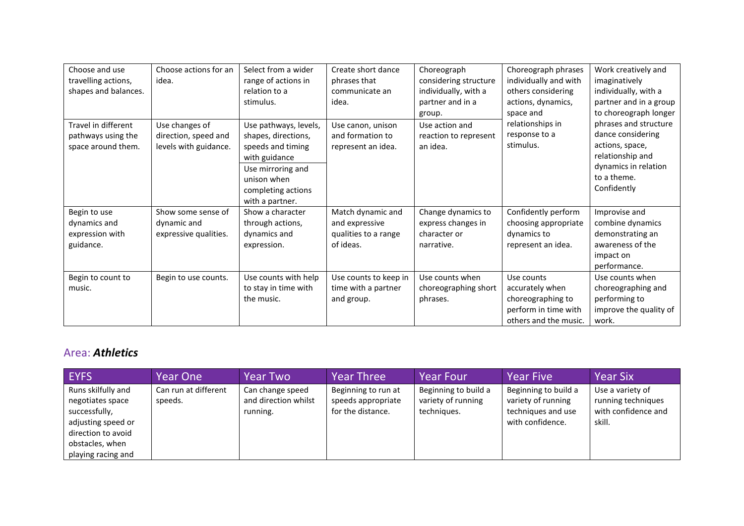| Work creatively and    |
|------------------------|
| imaginatively          |
| individually, with a   |
| partner and in a group |
| to choreograph longer  |
| phrases and structure  |
| dance considering      |
| actions, space,        |
| relationship and       |
| dynamics in relation   |
| to a theme.            |
| Confidently            |
|                        |
| Improvise and          |
| combine dynamics       |
| demonstrating an       |
| awareness of the       |
| impact on              |
| performance.           |
| Use counts when        |
| choreographing and     |
| performing to          |
| improve the quality of |
| work.                  |
|                        |

#### Area: *Athletics*

| EYFS                                                                                                                                         | <b>Year One</b>                 | <b>Year Two</b>                                      | <b>Year Three</b>                                              | <b>Year Four</b>                                          | <b>Year Five</b>                                                                     | <b>Year Six</b>                                                         |
|----------------------------------------------------------------------------------------------------------------------------------------------|---------------------------------|------------------------------------------------------|----------------------------------------------------------------|-----------------------------------------------------------|--------------------------------------------------------------------------------------|-------------------------------------------------------------------------|
| Runs skilfully and<br>negotiates space<br>successfully,<br>adjusting speed or<br>direction to avoid<br>obstacles, when<br>playing racing and | Can run at different<br>speeds. | Can change speed<br>and direction whilst<br>running. | Beginning to run at<br>speeds appropriate<br>for the distance. | Beginning to build a<br>variety of running<br>techniques. | Beginning to build a<br>variety of running<br>techniques and use<br>with confidence. | Use a variety of<br>running techniques<br>with confidence and<br>skill. |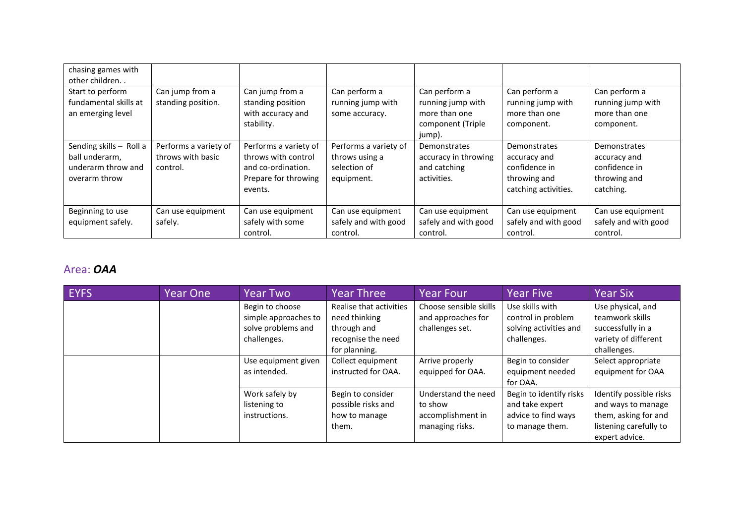| chasing games with<br>other children                                             |                                                        |                                                                                                       |                                                                       |                                                                                    |                                                                                       |                                                                            |
|----------------------------------------------------------------------------------|--------------------------------------------------------|-------------------------------------------------------------------------------------------------------|-----------------------------------------------------------------------|------------------------------------------------------------------------------------|---------------------------------------------------------------------------------------|----------------------------------------------------------------------------|
| Start to perform<br>fundamental skills at<br>an emerging level                   | Can jump from a<br>standing position.                  | Can jump from a<br>standing position<br>with accuracy and<br>stability.                               | Can perform a<br>running jump with<br>some accuracy.                  | Can perform a<br>running jump with<br>more than one<br>component (Triple<br>jump). | Can perform a<br>running jump with<br>more than one<br>component.                     | Can perform a<br>running jump with<br>more than one<br>component.          |
| Sending skills - Roll a<br>ball underarm,<br>underarm throw and<br>overarm throw | Performs a variety of<br>throws with basic<br>control. | Performs a variety of<br>throws with control<br>and co-ordination.<br>Prepare for throwing<br>events. | Performs a variety of<br>throws using a<br>selection of<br>equipment. | Demonstrates<br>accuracy in throwing<br>and catching<br>activities.                | Demonstrates<br>accuracy and<br>confidence in<br>throwing and<br>catching activities. | Demonstrates<br>accuracy and<br>confidence in<br>throwing and<br>catching. |
| Beginning to use<br>equipment safely.                                            | Can use equipment<br>safely.                           | Can use equipment<br>safely with some<br>control.                                                     | Can use equipment<br>safely and with good<br>control.                 | Can use equipment<br>safely and with good<br>control.                              | Can use equipment<br>safely and with good<br>control.                                 | Can use equipment<br>safely and with good<br>control.                      |

## Area: *OAA*

| <b>EYFS</b> | Year One | <b>Year Two</b>                                                              | <b>Year Three</b>                                                                              | <b>Year Four</b>                                                       | <b>Year Five</b>                                                                     | <b>Year Six</b>                                                                                                   |
|-------------|----------|------------------------------------------------------------------------------|------------------------------------------------------------------------------------------------|------------------------------------------------------------------------|--------------------------------------------------------------------------------------|-------------------------------------------------------------------------------------------------------------------|
|             |          | Begin to choose<br>simple approaches to<br>solve problems and<br>challenges. | Realise that activities<br>need thinking<br>through and<br>recognise the need<br>for planning. | Choose sensible skills<br>and approaches for<br>challenges set.        | Use skills with<br>control in problem<br>solving activities and<br>challenges.       | Use physical, and<br>teamwork skills<br>successfully in a<br>variety of different<br>challenges.                  |
|             |          | Use equipment given<br>as intended.                                          | Collect equipment<br>instructed for OAA.                                                       | Arrive properly<br>equipped for OAA.                                   | Begin to consider<br>equipment needed<br>for OAA.                                    | Select appropriate<br>equipment for OAA                                                                           |
|             |          | Work safely by<br>listening to<br>instructions.                              | Begin to consider<br>possible risks and<br>how to manage<br>them.                              | Understand the need<br>to show<br>accomplishment in<br>managing risks. | Begin to identify risks<br>and take expert<br>advice to find ways<br>to manage them. | Identify possible risks<br>and ways to manage<br>them, asking for and<br>listening carefully to<br>expert advice. |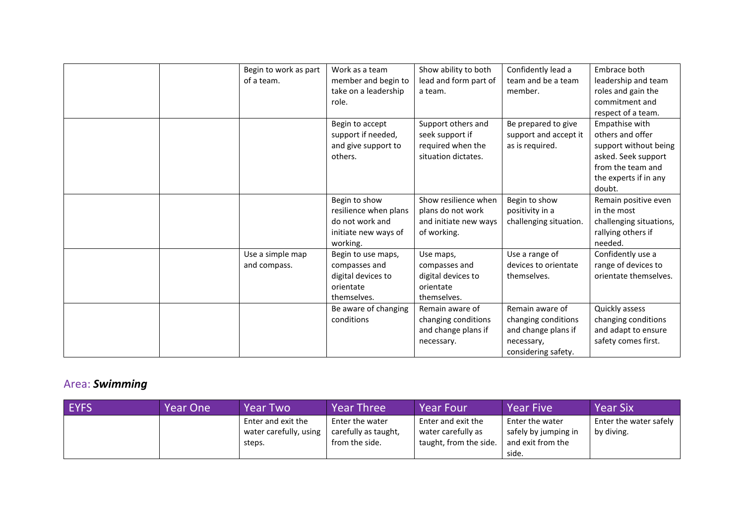| Begin to work as part | Work as a team        | Show ability to both  | Confidently lead a     | Embrace both            |
|-----------------------|-----------------------|-----------------------|------------------------|-------------------------|
| of a team.            | member and begin to   | lead and form part of | team and be a team     | leadership and team     |
|                       | take on a leadership  | a team.               | member.                | roles and gain the      |
|                       | role.                 |                       |                        | commitment and          |
|                       |                       |                       |                        | respect of a team.      |
|                       | Begin to accept       | Support others and    | Be prepared to give    | Empathise with          |
|                       | support if needed,    | seek support if       | support and accept it  | others and offer        |
|                       | and give support to   | required when the     | as is required.        | support without being   |
|                       | others.               | situation dictates.   |                        | asked. Seek support     |
|                       |                       |                       |                        | from the team and       |
|                       |                       |                       |                        | the experts if in any   |
|                       |                       |                       |                        | doubt.                  |
|                       | Begin to show         | Show resilience when  | Begin to show          | Remain positive even    |
|                       | resilience when plans | plans do not work     | positivity in a        | in the most             |
|                       | do not work and       | and initiate new ways | challenging situation. | challenging situations, |
|                       | initiate new ways of  | of working.           |                        | rallying others if      |
|                       | working.              |                       |                        | needed.                 |
| Use a simple map      | Begin to use maps,    | Use maps,             | Use a range of         | Confidently use a       |
| and compass.          | compasses and         | compasses and         | devices to orientate   | range of devices to     |
|                       | digital devices to    | digital devices to    | themselves.            | orientate themselves.   |
|                       | orientate             | orientate             |                        |                         |
|                       | themselves.           | themselves.           |                        |                         |
|                       | Be aware of changing  | Remain aware of       | Remain aware of        | Quickly assess          |
|                       | conditions            | changing conditions   | changing conditions    | changing conditions     |
|                       |                       | and change plans if   | and change plans if    | and adapt to ensure     |
|                       |                       | necessary.            | necessary,             | safety comes first.     |
|                       |                       |                       | considering safety.    |                         |

# Area: *Swimming*

| <b>EYFS</b> | Year One ! | Year Two               | <b>Year Three</b>    | <b>Year Four</b>       | Year Five            | <b>Year Six</b>        |
|-------------|------------|------------------------|----------------------|------------------------|----------------------|------------------------|
|             |            | Enter and exit the     | Enter the water      | Enter and exit the     | Enter the water      | Enter the water safely |
|             |            | water carefully, using | carefully as taught, | water carefully as     | safely by jumping in | by diving.             |
|             |            | steps.                 | from the side.       | taught, from the side. | and exit from the    |                        |
|             |            |                        |                      |                        | side.                |                        |